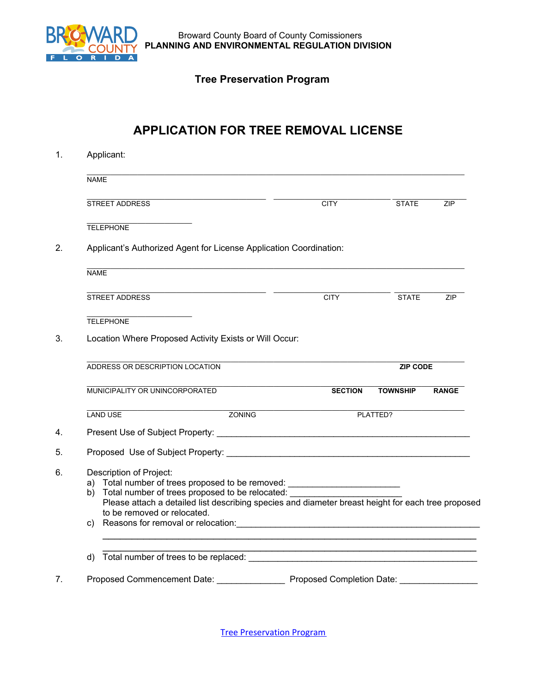

 Broward County Board of County Comissioners  **PLANNING AND ENVIRONMENTAL REGULATION DIVISION** 

## **Tree Preservation Program**

## **APPLICATION FOR TREE REMOVAL LICENSE**

| 1. |             | Applicant:<br><b>NAME</b>                                                                                                                                                                                                                                                                                                                                                                                                                                                                                                                           |                 |                |                 |              |  |  |  |
|----|-------------|-----------------------------------------------------------------------------------------------------------------------------------------------------------------------------------------------------------------------------------------------------------------------------------------------------------------------------------------------------------------------------------------------------------------------------------------------------------------------------------------------------------------------------------------------------|-----------------|----------------|-----------------|--------------|--|--|--|
|    |             |                                                                                                                                                                                                                                                                                                                                                                                                                                                                                                                                                     |                 |                |                 |              |  |  |  |
|    |             | STREET ADDRESS                                                                                                                                                                                                                                                                                                                                                                                                                                                                                                                                      |                 | <b>CITY</b>    | <b>STATE</b>    | ZIP          |  |  |  |
|    |             | <b>TELEPHONE</b>                                                                                                                                                                                                                                                                                                                                                                                                                                                                                                                                    |                 |                |                 |              |  |  |  |
| 2. |             | Applicant's Authorized Agent for License Application Coordination:                                                                                                                                                                                                                                                                                                                                                                                                                                                                                  |                 |                |                 |              |  |  |  |
|    | <b>NAME</b> |                                                                                                                                                                                                                                                                                                                                                                                                                                                                                                                                                     |                 |                |                 |              |  |  |  |
|    |             | <b>STREET ADDRESS</b>                                                                                                                                                                                                                                                                                                                                                                                                                                                                                                                               |                 | <b>CITY</b>    | <b>STATE</b>    | <b>ZIP</b>   |  |  |  |
|    |             | <b>TELEPHONE</b>                                                                                                                                                                                                                                                                                                                                                                                                                                                                                                                                    |                 |                |                 |              |  |  |  |
| 3. |             | Location Where Proposed Activity Exists or Will Occur:                                                                                                                                                                                                                                                                                                                                                                                                                                                                                              |                 |                |                 |              |  |  |  |
|    |             | ADDRESS OR DESCRIPTION LOCATION                                                                                                                                                                                                                                                                                                                                                                                                                                                                                                                     | <b>ZIP CODE</b> |                |                 |              |  |  |  |
|    |             | MUNICIPALITY OR UNINCORPORATED                                                                                                                                                                                                                                                                                                                                                                                                                                                                                                                      |                 | <b>SECTION</b> | <b>TOWNSHIP</b> | <b>RANGE</b> |  |  |  |
|    |             | <b>ZONING</b><br><b>LAND USE</b>                                                                                                                                                                                                                                                                                                                                                                                                                                                                                                                    |                 |                | PLATTED?        |              |  |  |  |
| 4. |             |                                                                                                                                                                                                                                                                                                                                                                                                                                                                                                                                                     |                 |                |                 |              |  |  |  |
| 5. |             | Proposed Use of Subject Property: Letter and Contract the Contract of Subject Property:                                                                                                                                                                                                                                                                                                                                                                                                                                                             |                 |                |                 |              |  |  |  |
| 6. |             | Description of Project:<br>a) Total number of trees proposed to be removed: _______________________________<br>b) Total number of trees proposed to be relocated: __________<br>Please attach a detailed list describing species and diameter breast height for each tree proposed<br>to be removed or relocated.<br>c) Reasons for removal or relocation: example and a series of the series of the series of the series of the series of the series of the series of the series of the series of the series of the series of the series of the se |                 |                |                 |              |  |  |  |
|    |             | <u> 1989 - Johann Stoff, amerikansk politiker (d. 1989)</u><br>d) Total number of trees to be replaced:                                                                                                                                                                                                                                                                                                                                                                                                                                             |                 |                |                 |              |  |  |  |
| 7. |             |                                                                                                                                                                                                                                                                                                                                                                                                                                                                                                                                                     |                 |                |                 |              |  |  |  |

Tree [Preservation](http://www.broward.org/REGULATION/ENGINEERING/Pages/TreePreservationProgram.aspx) Program